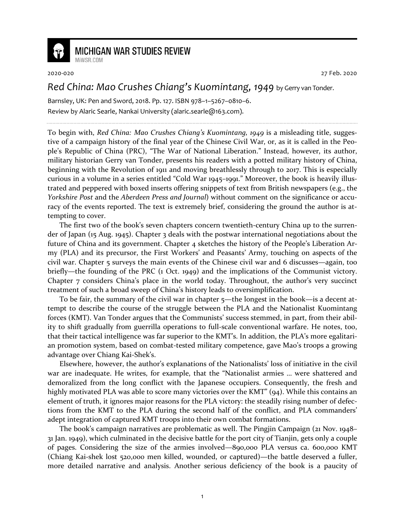

## **MICHIGAN WAR STUDIES REVIEW**

MiWSR COM

2020-020 27 Feb. 2020

## *Red China: Mao Crushes Chiang's Kuomintang, 1949* by Gerry van Tonder.

Barnsley, UK: Pen and Sword, 2018. Pp. 127. ISBN 978–1–5267–0810–6. Review by Alaric Searle, Nankai University (alaric.searle@163.com).

To begin with, *Red China: Mao Crushes Chiang's Kuomintang, 1949* is a misleading title, suggestive of a campaign history of the final year of the Chinese Civil War, or, as it is called in the People's Republic of China (PRC), "The War of National Liberation." Instead, however, its author, military historian Gerry van Tonder, presents his readers with a potted military history of China, beginning with the Revolution of 1911 and moving breathlessly through to 2017. This is especially curious in a volume in a series entitled "Cold War 1945–1991." Moreover, the book is heavily illustrated and peppered with boxed inserts offering snippets of text from British newspapers (e.g., the *Yorkshire Post* and the *Aberdeen Press and Journal*) without comment on the significance or accuracy of the events reported. The text is extremely brief, considering the ground the author is attempting to cover.

The first two of the book's seven chapters concern twentieth-century China up to the surrender of Japan (15 Aug. 1945). Chapter 3 deals with the postwar international negotiations about the future of China and its government. Chapter 4 sketches the history of the People's Liberation Army (PLA) and its precursor, the First Workers' and Peasants' Army, touching on aspects of the civil war. Chapter 5 surveys the main events of the Chinese civil war and 6 discusses—again, too briefly—the founding of the PRC (1 Oct. 1949) and the implications of the Communist victory. Chapter 7 considers China's place in the world today. Throughout, the author's very succinct treatment of such a broad sweep of China's history leads to oversimplification.

To be fair, the summary of the civil war in chapter 5—the longest in the book—is a decent attempt to describe the course of the struggle between the PLA and the Nationalist Kuomintang forces (KMT). Van Tonder argues that the Communists' success stemmed, in part, from their ability to shift gradually from guerrilla operations to full-scale conventional warfare. He notes, too, that their tactical intelligence was far superior to the KMT's. In addition, the PLA's more egalitarian promotion system, based on combat-tested military competence, gave Mao's troops a growing advantage over Chiang Kai-Shek's.

Elsewhere, however, the author's explanations of the Nationalists' loss of initiative in the civil war are inadequate. He writes, for example, that the "Nationalist armies … were shattered and demoralized from the long conflict with the Japanese occupiers. Consequently, the fresh and highly motivated PLA was able to score many victories over the KMT" (94). While this contains an element of truth, it ignores major reasons for the PLA victory: the steadily rising number of defections from the KMT to the PLA during the second half of the conflict, and PLA commanders' adept integration of captured KMT troops into their own combat formations.

The book's campaign narratives are problematic as well. The Pingjin Campaign (21 Nov. 1948– 31 Jan. 1949), which culminated in the decisive battle for the port city of Tianjin, gets only a couple of pages. Considering the size of the armies involved—890,000 PLA versus ca. 600,000 KMT (Chiang Kai-shek lost 520,000 men killed, wounded, or captured)—the battle deserved a fuller, more detailed narrative and analysis. Another serious deficiency of the book is a paucity of